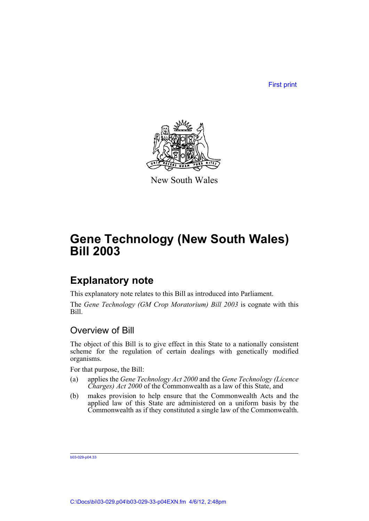First print



New South Wales

# **Gene Technology (New South Wales) Bill 2003**

# **Explanatory note**

This explanatory note relates to this Bill as introduced into Parliament.

The *Gene Technology (GM Crop Moratorium) Bill 2003* is cognate with this Bill.

## Overview of Bill

The object of this Bill is to give effect in this State to a nationally consistent scheme for the regulation of certain dealings with genetically modified organisms.

For that purpose, the Bill:

- (a) applies the *Gene Technology Act 2000* and the *Gene Technology (Licence Charges) Act 2000* of the Commonwealth as a law of this State, and
- (b) makes provision to help ensure that the Commonwealth Acts and the applied law of this State are administered on a uniform basis by the Commonwealth as if they constituted a single law of the Commonwealth.

b03-029-p04.33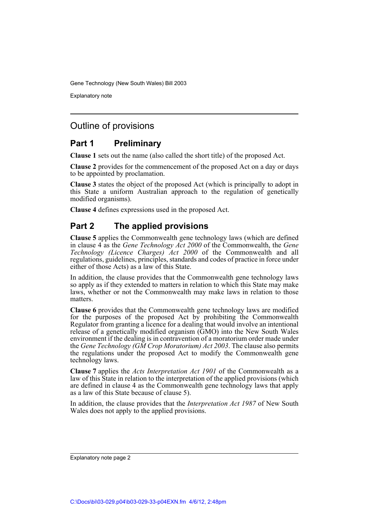Explanatory note

## Outline of provisions

## **Part 1 Preliminary**

**Clause 1** sets out the name (also called the short title) of the proposed Act.

**Clause 2** provides for the commencement of the proposed Act on a day or days to be appointed by proclamation.

**Clause 3** states the object of the proposed Act (which is principally to adopt in this State a uniform Australian approach to the regulation of genetically modified organisms).

**Clause 4** defines expressions used in the proposed Act.

## **Part 2 The applied provisions**

**Clause 5** applies the Commonwealth gene technology laws (which are defined in clause 4 as the *Gene Technology Act 2000* of the Commonwealth, the *Gene Technology (Licence Charges) Act 2000* of the Commonwealth and all regulations, guidelines, principles, standards and codes of practice in force under either of those Acts) as a law of this State.

In addition, the clause provides that the Commonwealth gene technology laws so apply as if they extended to matters in relation to which this State may make laws, whether or not the Commonwealth may make laws in relation to those matters.

**Clause 6** provides that the Commonwealth gene technology laws are modified for the purposes of the proposed Act by prohibiting the Commonwealth Regulator from granting a licence for a dealing that would involve an intentional release of a genetically modified organism (GMO) into the New South Wales environment if the dealing is in contravention of a moratorium order made under the *Gene Technology (GM Crop Moratorium) Act 2003*. The clause also permits the regulations under the proposed Act to modify the Commonwealth gene technology laws.

**Clause 7** applies the *Acts Interpretation Act 1901* of the Commonwealth as a law of this State in relation to the interpretation of the applied provisions (which are defined in clause 4 as the Commonwealth gene technology laws that apply as a law of this State because of clause 5).

In addition, the clause provides that the *Interpretation Act 1987* of New South Wales does not apply to the applied provisions.

Explanatory note page 2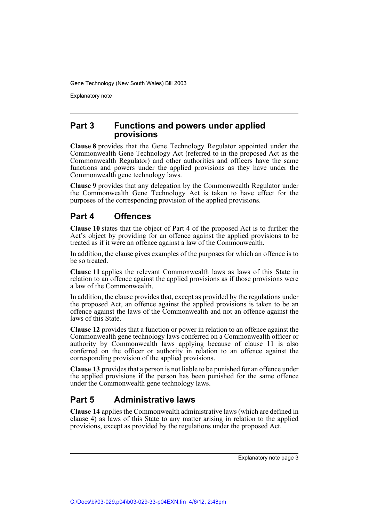Explanatory note

### **Part 3 Functions and powers under applied provisions**

**Clause 8** provides that the Gene Technology Regulator appointed under the Commonwealth Gene Technology Act (referred to in the proposed Act as the Commonwealth Regulator) and other authorities and officers have the same functions and powers under the applied provisions as they have under the Commonwealth gene technology laws.

**Clause 9** provides that any delegation by the Commonwealth Regulator under the Commonwealth Gene Technology Act is taken to have effect for the purposes of the corresponding provision of the applied provisions.

## **Part 4 Offences**

**Clause 10** states that the object of Part 4 of the proposed Act is to further the Act's object by providing for an offence against the applied provisions to be treated as if it were an offence against a law of the Commonwealth.

In addition, the clause gives examples of the purposes for which an offence is to be so treated.

**Clause 11** applies the relevant Commonwealth laws as laws of this State in relation to an offence against the applied provisions as if those provisions were a law of the Commonwealth.

In addition, the clause provides that, except as provided by the regulations under the proposed Act, an offence against the applied provisions is taken to be an offence against the laws of the Commonwealth and not an offence against the laws of this State.

**Clause 12** provides that a function or power in relation to an offence against the Commonwealth gene technology laws conferred on a Commonwealth officer or authority by Commonwealth laws applying because of clause 11 is also conferred on the officer or authority in relation to an offence against the corresponding provision of the applied provisions.

**Clause 13** provides that a person is not liable to be punished for an offence under the applied provisions if the person has been punished for the same offence under the Commonwealth gene technology laws.

## **Part 5 Administrative laws**

**Clause 14** applies the Commonwealth administrative laws (which are defined in clause 4) as laws of this State to any matter arising in relation to the applied provisions, except as provided by the regulations under the proposed Act.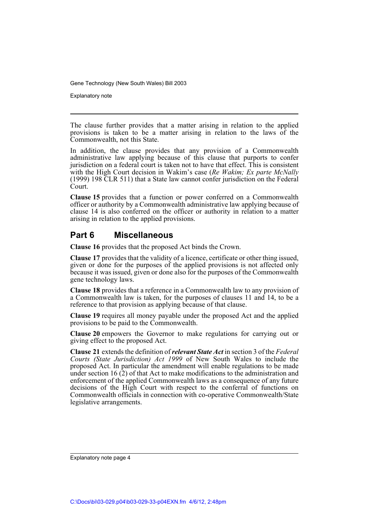Explanatory note

The clause further provides that a matter arising in relation to the applied provisions is taken to be a matter arising in relation to the laws of the Commonwealth, not this State.

In addition, the clause provides that any provision of a Commonwealth administrative law applying because of this clause that purports to confer jurisdiction on a federal court is taken not to have that effect. This is consistent with the High Court decision in Wakim's case (*Re Wakim; Ex parte McNally* (1999) 198 CLR 511) that a State law cannot confer jurisdiction on the Federal Court.

**Clause 15** provides that a function or power conferred on a Commonwealth officer or authority by a Commonwealth administrative law applying because of clause 14 is also conferred on the officer or authority in relation to a matter arising in relation to the applied provisions.

## **Part 6 Miscellaneous**

**Clause 16** provides that the proposed Act binds the Crown.

**Clause 17** provides that the validity of a licence, certificate or other thing issued, given or done for the purposes of the applied provisions is not affected only because it was issued, given or done also for the purposes of the Commonwealth gene technology laws.

**Clause 18** provides that a reference in a Commonwealth law to any provision of a Commonwealth law is taken, for the purposes of clauses 11 and 14, to be a reference to that provision as applying because of that clause.

**Clause 19** requires all money payable under the proposed Act and the applied provisions to be paid to the Commonwealth.

**Clause 20** empowers the Governor to make regulations for carrying out or giving effect to the proposed Act.

**Clause 21** extends the definition of *relevant State Act* in section 3 of the *Federal Courts (State Jurisdiction) Act 1999* of New South Wales to include the proposed Act. In particular the amendment will enable regulations to be made under section 16 (2) of that Act to make modifications to the administration and enforcement of the applied Commonwealth laws as a consequence of any future decisions of the High Court with respect to the conferral of functions on Commonwealth officials in connection with co-operative Commonwealth/State legislative arrangements.

Explanatory note page 4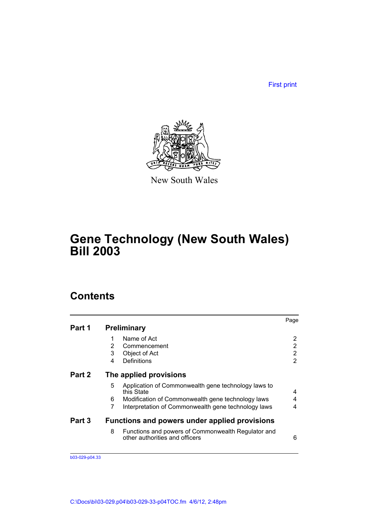First print



New South Wales

# **Gene Technology (New South Wales) Bill 2003**

## **Contents**

|        |                                                                                           | Page |
|--------|-------------------------------------------------------------------------------------------|------|
| Part 1 | <b>Preliminary</b>                                                                        |      |
|        | Name of Act<br>1                                                                          | 2    |
|        | 2<br>Commencement                                                                         | 2    |
|        | 3<br>Object of Act                                                                        | 2    |
|        | Definitions<br>4                                                                          | 2    |
| Part 2 | The applied provisions                                                                    |      |
|        | 5<br>Application of Commonwealth gene technology laws to<br>this State                    | 4    |
|        | Modification of Commonwealth gene technology laws<br>6                                    | 4    |
|        | 7<br>Interpretation of Commonwealth gene technology laws                                  | 4    |
| Part 3 | Functions and powers under applied provisions                                             |      |
|        | 8<br>Functions and powers of Commonwealth Regulator and<br>other authorities and officers | 6    |

b03-029-p04.33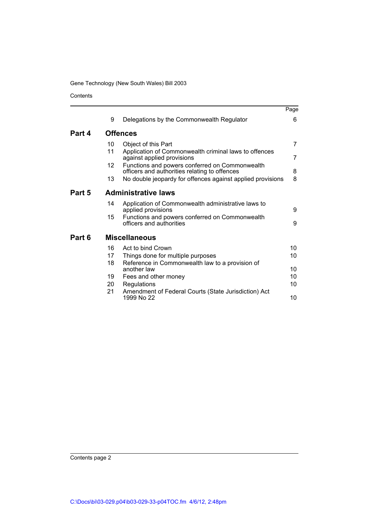Contents

|        |          |                                                                                                 | Page     |
|--------|----------|-------------------------------------------------------------------------------------------------|----------|
|        | 9        | Delegations by the Commonwealth Regulator                                                       | 6        |
| Part 4 |          | <b>Offences</b>                                                                                 |          |
|        | 10       | Object of this Part                                                                             | 7        |
|        | 11       | Application of Commonwealth criminal laws to offences<br>against applied provisions             | 7        |
|        | 12       | Functions and powers conferred on Commonwealth<br>officers and authorities relating to offences | 8        |
|        | 13       | No double jeopardy for offences against applied provisions                                      | 8        |
| Part 5 |          | <b>Administrative laws</b>                                                                      |          |
|        | 14       | Application of Commonwealth administrative laws to<br>applied provisions                        | 9        |
|        | 15       | Functions and powers conferred on Commonwealth<br>officers and authorities                      | 9        |
| Part 6 |          | <b>Miscellaneous</b>                                                                            |          |
|        | 16       | Act to bind Crown                                                                               | 10       |
|        | 17       | Things done for multiple purposes                                                               | 10       |
|        | 18       | Reference in Commonwealth law to a provision of                                                 |          |
|        |          | another law                                                                                     | 10<br>10 |
|        | 19<br>20 | Fees and other money                                                                            | 10       |
|        | 21       | Regulations<br>Amendment of Federal Courts (State Jurisdiction) Act<br>1999 No 22               | 10       |

Contents page 2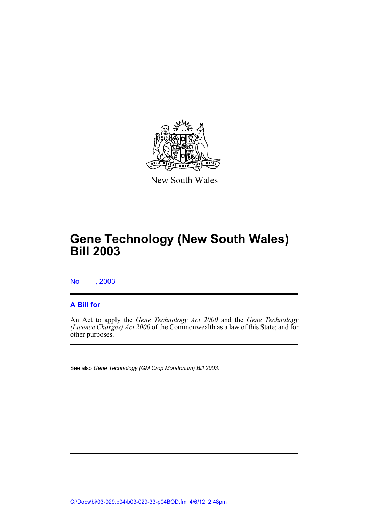

New South Wales

# **Gene Technology (New South Wales) Bill 2003**

No , 2003

### **A Bill for**

An Act to apply the *Gene Technology Act 2000* and the *Gene Technology (Licence Charges) Act 2000* of the Commonwealth as a law of this State; and for other purposes.

See also *Gene Technology (GM Crop Moratorium) Bill 2003*.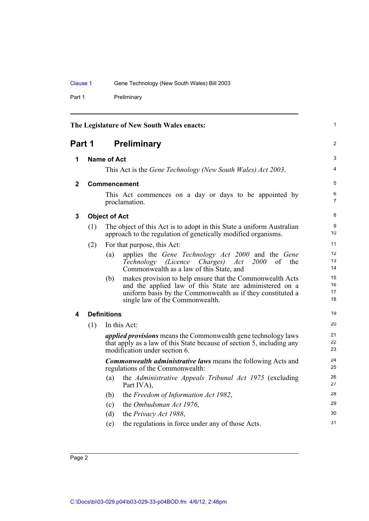Part 1 Preliminary

<span id="page-7-4"></span><span id="page-7-3"></span><span id="page-7-2"></span><span id="page-7-1"></span><span id="page-7-0"></span>

|             |                    |                                                                                                                                        | The Legislature of New South Wales enacts:                                                                                                                                                                            | 1                    |
|-------------|--------------------|----------------------------------------------------------------------------------------------------------------------------------------|-----------------------------------------------------------------------------------------------------------------------------------------------------------------------------------------------------------------------|----------------------|
| Part 1      |                    |                                                                                                                                        | <b>Preliminary</b>                                                                                                                                                                                                    | $\overline{2}$       |
| 1           | <b>Name of Act</b> |                                                                                                                                        |                                                                                                                                                                                                                       | З                    |
|             |                    |                                                                                                                                        | This Act is the Gene Technology (New South Wales) Act 2003.                                                                                                                                                           | 4                    |
| $\mathbf 2$ |                    |                                                                                                                                        | <b>Commencement</b>                                                                                                                                                                                                   | 5                    |
|             |                    |                                                                                                                                        | This Act commences on a day or days to be appointed by<br>proclamation.                                                                                                                                               | 6<br>$\overline{7}$  |
| 3           |                    | <b>Object of Act</b>                                                                                                                   |                                                                                                                                                                                                                       | 8                    |
|             | (1)                | The object of this Act is to adopt in this State a uniform Australian<br>approach to the regulation of genetically modified organisms. |                                                                                                                                                                                                                       | 9<br>10              |
|             | (2)                |                                                                                                                                        | For that purpose, this Act:                                                                                                                                                                                           | 11                   |
|             |                    | (a)                                                                                                                                    | applies the Gene Technology Act 2000 and the Gene<br>2000<br>Technology (Licence Charges)<br>Act<br>of<br>the<br>Commonwealth as a law of this State, and                                                             | 12<br>13<br>14       |
|             |                    | (b)                                                                                                                                    | makes provision to help ensure that the Commonwealth Acts<br>and the applied law of this State are administered on a<br>uniform basis by the Commonwealth as if they constituted a<br>single law of the Commonwealth. | 15<br>16<br>17<br>18 |
| 4           | <b>Definitions</b> |                                                                                                                                        | 19                                                                                                                                                                                                                    |                      |
| (1)         |                    |                                                                                                                                        | In this Act:                                                                                                                                                                                                          | 20                   |
|             |                    |                                                                                                                                        | <i>applied provisions</i> means the Commonwealth gene technology laws<br>that apply as a law of this State because of section 5, including any<br>modification under section 6.                                       | 21<br>22<br>23       |
|             |                    |                                                                                                                                        | <b>Commonwealth administrative laws means the following Acts and</b><br>regulations of the Commonwealth:                                                                                                              | 24<br>25             |
|             |                    | (a)                                                                                                                                    | the Administrative Appeals Tribunal Act 1975 (excluding<br>Part IVA),                                                                                                                                                 | 26<br>27             |
|             |                    | (b)                                                                                                                                    | the Freedom of Information Act 1982,                                                                                                                                                                                  | 28                   |
|             |                    | (c)                                                                                                                                    | the Ombudsman Act 1976,                                                                                                                                                                                               | 29                   |
|             |                    | (d)                                                                                                                                    | the Privacy Act 1988,                                                                                                                                                                                                 | 30                   |
|             |                    | (e)                                                                                                                                    | the regulations in force under any of those Acts.                                                                                                                                                                     | 31                   |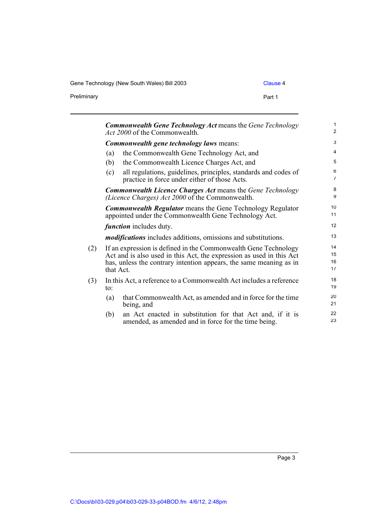Gene Technology (New South Wales) Bill 2003 Clause 4

Preliminary

| . .<br>×<br>× |  |
|---------------|--|
|---------------|--|

|     |                                                                                                                                                                                                                            | <b>Commonwealth Gene Technology Act means the Gene Technology</b><br><i>Act 2000</i> of the Commonwealth.                  | 1<br>$\overline{\mathbf{c}}$ |  |
|-----|----------------------------------------------------------------------------------------------------------------------------------------------------------------------------------------------------------------------------|----------------------------------------------------------------------------------------------------------------------------|------------------------------|--|
|     |                                                                                                                                                                                                                            | <b>Commonwealth gene technology laws means:</b>                                                                            |                              |  |
|     | (a)                                                                                                                                                                                                                        | the Commonwealth Gene Technology Act, and                                                                                  | 4                            |  |
|     | (b)                                                                                                                                                                                                                        | the Commonwealth Licence Charges Act, and                                                                                  | 5                            |  |
|     | (c)                                                                                                                                                                                                                        | all regulations, guidelines, principles, standards and codes of<br>practice in force under either of those Acts.           | 6<br>$\overline{7}$          |  |
|     | <b>Commonwealth Licence Charges Act means the Gene Technology</b><br>(Licence Charges) Act 2000 of the Commonwealth.                                                                                                       |                                                                                                                            | 8<br>9                       |  |
|     |                                                                                                                                                                                                                            | <b>Commonwealth Regulator</b> means the Gene Technology Regulator<br>appointed under the Commonwealth Gene Technology Act. | 10<br>11                     |  |
|     | <i>function</i> includes duty.                                                                                                                                                                                             |                                                                                                                            |                              |  |
|     |                                                                                                                                                                                                                            | <i>modifications</i> includes additions, omissions and substitutions.                                                      | 13                           |  |
| (2) | If an expression is defined in the Commonwealth Gene Technology<br>Act and is also used in this Act, the expression as used in this Act<br>has, unless the contrary intention appears, the same meaning as in<br>that Act. |                                                                                                                            | 14<br>15<br>16<br>17         |  |
| (3) | In this Act, a reference to a Commonwealth Act includes a reference<br>$\mathfrak{to}$ :                                                                                                                                   |                                                                                                                            |                              |  |
|     | (a)                                                                                                                                                                                                                        | that Commonwealth Act, as amended and in force for the time<br>being, and                                                  | 20<br>21                     |  |
|     | (b)                                                                                                                                                                                                                        | an Act enacted in substitution for that Act and, if it is<br>amended, as amended and in force for the time being.          | 22<br>23                     |  |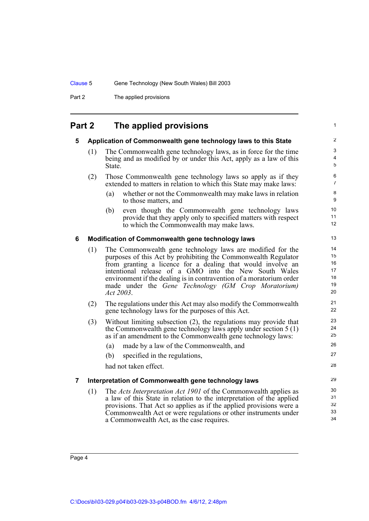Part 2 The applied provisions

## <span id="page-9-0"></span>**Part 2 The applied provisions**

<span id="page-9-3"></span><span id="page-9-2"></span><span id="page-9-1"></span>

| 5 |     | Application of Commonwealth gene technology laws to this State                                                                                                                                                                                                                                                                                                                                   | 2                                      |
|---|-----|--------------------------------------------------------------------------------------------------------------------------------------------------------------------------------------------------------------------------------------------------------------------------------------------------------------------------------------------------------------------------------------------------|----------------------------------------|
|   | (1) | The Commonwealth gene technology laws, as in force for the time<br>being and as modified by or under this Act, apply as a law of this<br>State.                                                                                                                                                                                                                                                  | 3<br>4<br>5                            |
|   | (2) | Those Commonwealth gene technology laws so apply as if they<br>extended to matters in relation to which this State may make laws:                                                                                                                                                                                                                                                                | 6<br>$\overline{7}$                    |
|   |     | (a)<br>whether or not the Commonwealth may make laws in relation<br>to those matters, and                                                                                                                                                                                                                                                                                                        | 8<br>9                                 |
|   |     | even though the Commonwealth gene technology laws<br>(b)<br>provide that they apply only to specified matters with respect<br>to which the Commonwealth may make laws.                                                                                                                                                                                                                           | 10<br>11<br>12                         |
| 6 |     | Modification of Commonwealth gene technology laws                                                                                                                                                                                                                                                                                                                                                | 13                                     |
|   | (1) | The Commonwealth gene technology laws are modified for the<br>purposes of this Act by prohibiting the Commonwealth Regulator<br>from granting a licence for a dealing that would involve an<br>intentional release of a GMO into the New South Wales<br>environment if the dealing is in contravention of a moratorium order<br>made under the Gene Technology (GM Crop Moratorium)<br>Act 2003. | 14<br>15<br>16<br>17<br>18<br>19<br>20 |
|   | (2) | The regulations under this Act may also modify the Commonwealth<br>gene technology laws for the purposes of this Act.                                                                                                                                                                                                                                                                            | 21<br>22                               |
|   | (3) | Without limiting subsection (2), the regulations may provide that<br>the Commonwealth gene technology laws apply under section $5(1)$<br>as if an amendment to the Commonwealth gene technology laws:                                                                                                                                                                                            | 23<br>24<br>25                         |
|   |     | made by a law of the Commonwealth, and<br>(a)                                                                                                                                                                                                                                                                                                                                                    | 26                                     |
|   |     | specified in the regulations,<br>(b)                                                                                                                                                                                                                                                                                                                                                             | 27                                     |
|   |     | had not taken effect.                                                                                                                                                                                                                                                                                                                                                                            | 28                                     |
| 7 |     | Interpretation of Commonwealth gene technology laws                                                                                                                                                                                                                                                                                                                                              | 29                                     |
|   | (1) | The <i>Acts Interpretation Act 1901</i> of the Commonwealth applies as<br>a law of this State in relation to the interpretation of the applied<br>provisions. That Act so applies as if the applied provisions were a<br>Commonwealth Act or were regulations or other instruments under<br>a Commonwealth Act, as the case requires.                                                            | 30<br>31<br>32<br>33<br>34             |
|   |     |                                                                                                                                                                                                                                                                                                                                                                                                  |                                        |

1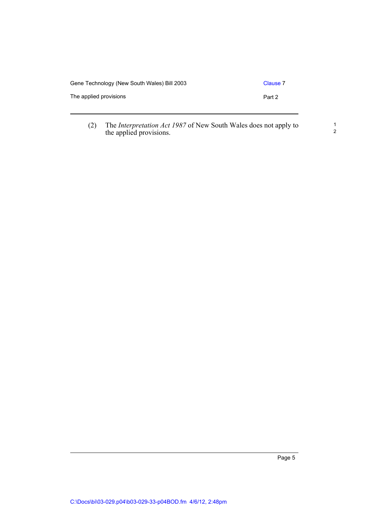| Gene Technology (New South Wales) Bill 2003 | Clause 7 |
|---------------------------------------------|----------|
| The applied provisions                      | Part 2   |
|                                             |          |

the applied provisions.

(2) The *Interpretation Act 1987* of New South Wales does not apply to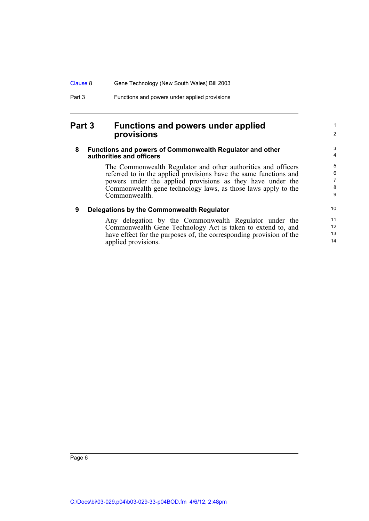### <span id="page-11-0"></span>**Part 3 Functions and powers under applied provisions**

#### <span id="page-11-1"></span>**8 Functions and powers of Commonwealth Regulator and other authorities and officers**

The Commonwealth Regulator and other authorities and officers referred to in the applied provisions have the same functions and powers under the applied provisions as they have under the Commonwealth gene technology laws, as those laws apply to the Commonwealth.

1 2

#### <span id="page-11-2"></span>**9 Delegations by the Commonwealth Regulator**

Any delegation by the Commonwealth Regulator under the Commonwealth Gene Technology Act is taken to extend to, and have effect for the purposes of, the corresponding provision of the applied provisions.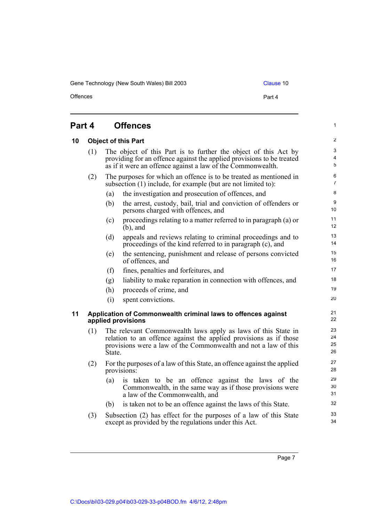Gene Technology (New South Wales) Bill 2003 Clause 10

Offences **Part 4** 

1

## <span id="page-12-0"></span>**Part 4 Offences**

<span id="page-12-2"></span><span id="page-12-1"></span>

| 10 | <b>Object of this Part</b>                                                          |                                                                                                                                                                                                                 |                                                                                                                                                  | $\mathbf{Z}$           |
|----|-------------------------------------------------------------------------------------|-----------------------------------------------------------------------------------------------------------------------------------------------------------------------------------------------------------------|--------------------------------------------------------------------------------------------------------------------------------------------------|------------------------|
|    | (1)                                                                                 | The object of this Part is to further the object of this Act by<br>providing for an offence against the applied provisions to be treated<br>as if it were an offence against a law of the Commonwealth.         |                                                                                                                                                  |                        |
|    | (2)                                                                                 |                                                                                                                                                                                                                 | The purposes for which an offence is to be treated as mentioned in<br>subsection (1) include, for example (but are not limited to):              | 6<br>$\overline{7}$    |
|    |                                                                                     | (a)                                                                                                                                                                                                             | the investigation and prosecution of offences, and                                                                                               | 8                      |
|    |                                                                                     | (b)                                                                                                                                                                                                             | the arrest, custody, bail, trial and conviction of offenders or<br>persons charged with offences, and                                            | $\boldsymbol{9}$<br>10 |
|    |                                                                                     | (c)                                                                                                                                                                                                             | proceedings relating to a matter referred to in paragraph (a) or<br>$(b)$ , and                                                                  | 11<br>12               |
|    |                                                                                     | (d)                                                                                                                                                                                                             | appeals and reviews relating to criminal proceedings and to<br>proceedings of the kind referred to in paragraph (c), and                         | 13<br>14               |
|    |                                                                                     | (e)                                                                                                                                                                                                             | the sentencing, punishment and release of persons convicted<br>of offences, and                                                                  | 15<br>16               |
|    |                                                                                     | (f)                                                                                                                                                                                                             | fines, penalties and forfeitures, and                                                                                                            | 17                     |
|    |                                                                                     | (g)                                                                                                                                                                                                             | liability to make reparation in connection with offences, and                                                                                    | 18                     |
|    |                                                                                     | (h)                                                                                                                                                                                                             | proceeds of crime, and                                                                                                                           | 19                     |
|    |                                                                                     | (i)                                                                                                                                                                                                             | spent convictions.                                                                                                                               | 20                     |
| 11 | Application of Commonwealth criminal laws to offences against<br>applied provisions |                                                                                                                                                                                                                 |                                                                                                                                                  |                        |
|    | (1)                                                                                 | The relevant Commonwealth laws apply as laws of this State in<br>relation to an offence against the applied provisions as if those<br>provisions were a law of the Commonwealth and not a law of this<br>State. |                                                                                                                                                  |                        |
|    | (2)                                                                                 |                                                                                                                                                                                                                 | For the purposes of a law of this State, an offence against the applied<br>provisions:                                                           | 27<br>28               |
|    |                                                                                     | (a)                                                                                                                                                                                                             | is taken to be an offence against the laws of the<br>Commonwealth, in the same way as if those provisions were<br>a law of the Commonwealth, and | 29<br>$30\,$<br>31     |
|    |                                                                                     | (b)                                                                                                                                                                                                             | is taken not to be an offence against the laws of this State.                                                                                    | 32                     |
|    | (3)                                                                                 |                                                                                                                                                                                                                 | Subsection (2) has effect for the purposes of a law of this State<br>except as provided by the regulations under this Act.                       | 33<br>34               |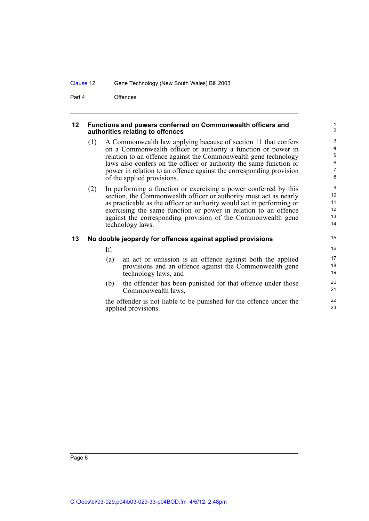Part 4 Offences

#### <span id="page-13-0"></span>**12 Functions and powers conferred on Commonwealth officers and authorities relating to offences**

(1) A Commonwealth law applying because of section 11 that confers on a Commonwealth officer or authority a function or power in relation to an offence against the Commonwealth gene technology laws also confers on the officer or authority the same function or power in relation to an offence against the corresponding provision of the applied provisions.

(2) In performing a function or exercising a power conferred by this section, the Commonwealth officer or authority must act as nearly as practicable as the officer or authority would act in performing or exercising the same function or power in relation to an offence against the corresponding provision of the Commonwealth gene technology laws.

#### <span id="page-13-1"></span>**13 No double jeopardy for offences against applied provisions**

If:

- (a) an act or omission is an offence against both the applied provisions and an offence against the Commonwealth gene technology laws, and
- (b) the offender has been punished for that offence under those Commonwealth laws,

the offender is not liable to be punished for the offence under the applied provisions.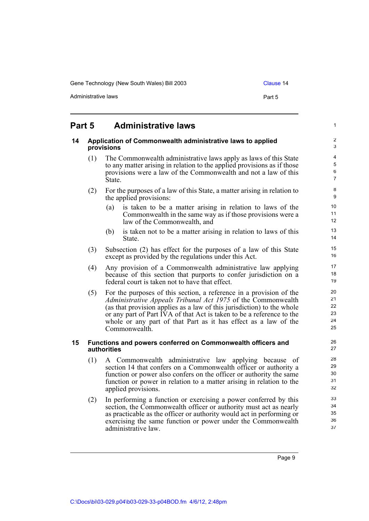Gene Technology (New South Wales) Bill 2003 Clause 14

Administrative laws **Part 5** 

1

## <span id="page-14-0"></span>**Part 5 Administrative laws**

#### <span id="page-14-1"></span>**14 Application of Commonwealth administrative laws to applied provisions**

- (1) The Commonwealth administrative laws apply as laws of this State to any matter arising in relation to the applied provisions as if those provisions were a law of the Commonwealth and not a law of this State.
- (2) For the purposes of a law of this State, a matter arising in relation to the applied provisions:
	- (a) is taken to be a matter arising in relation to laws of the Commonwealth in the same way as if those provisions were a law of the Commonwealth, and
	- (b) is taken not to be a matter arising in relation to laws of this State.
- (3) Subsection (2) has effect for the purposes of a law of this State except as provided by the regulations under this Act.
- (4) Any provision of a Commonwealth administrative law applying because of this section that purports to confer jurisdiction on a federal court is taken not to have that effect.
- (5) For the purposes of this section, a reference in a provision of the *Administrative Appeals Tribunal Act 1975* of the Commonwealth (as that provision applies as a law of this jurisdiction) to the whole or any part of Part IVA of that Act is taken to be a reference to the whole or any part of that Part as it has effect as a law of the Commonwealth.

#### <span id="page-14-2"></span>**15 Functions and powers conferred on Commonwealth officers and authorities**

- (1) A Commonwealth administrative law applying because of section 14 that confers on a Commonwealth officer or authority a function or power also confers on the officer or authority the same function or power in relation to a matter arising in relation to the applied provisions.
- (2) In performing a function or exercising a power conferred by this section, the Commonwealth officer or authority must act as nearly as practicable as the officer or authority would act in performing or exercising the same function or power under the Commonwealth administrative law.